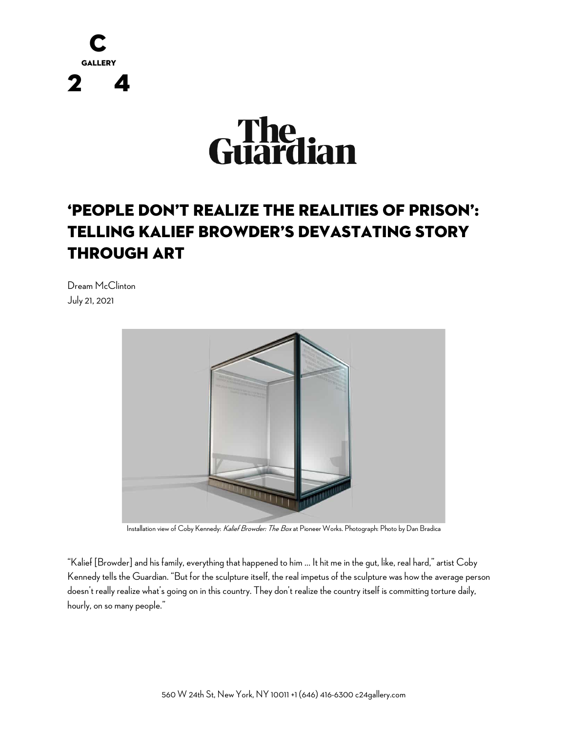

## The<br>uardian

## 'People don't realize the realities of prison': telling Kalief Browder's devastating story through art

Dream McClinton July 21, 2021



Installation view of Coby Kennedy: Kalief Browder: The Boxat Pioneer Works. Photograph: Photo by Dan Bradica

"Kalief [Browder] and his family, everything that happened to him ... It hit me in the gut, like, real hard," artist Coby Kennedy tells the Guardian. "But for the sculpture itself, the real impetus of the sculpture was how the average person doesn't really realize what's going on in this country. They don't realize the country itself is committing torture daily, hourly, on so many people."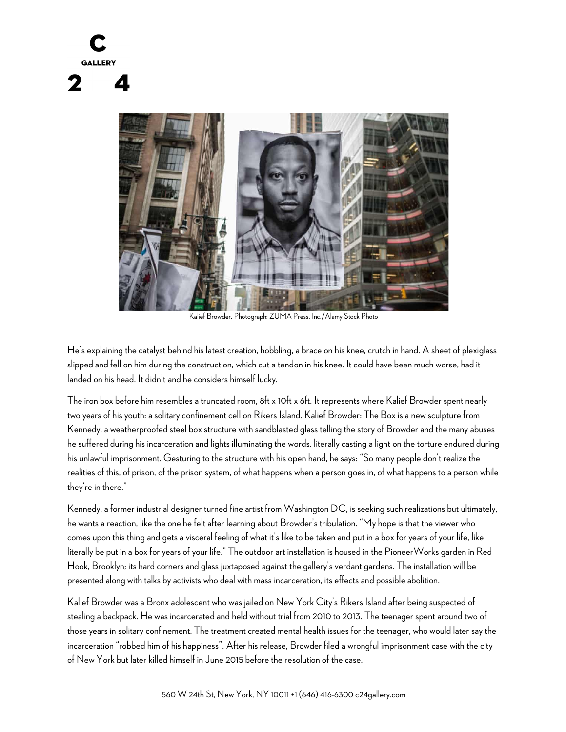

Kalief Browder. Photograph: ZUMA Press, Inc./Alamy Stock Photo

He's explaining the catalyst behind his latest creation, hobbling, a brace on his knee, crutch in hand. A sheet of plexiglass slipped and fell on him during the construction, which cut a tendon in his knee. It could have been much worse, had it landed on his head. It didn't and he considers himself lucky.

The iron box before him resembles a truncated room, 8ft x 10ft x 6ft. It represents where Kalief Browder spent nearly two years of his youth: a solitary confinement cell on Rikers Island. Kalief Browder: The Box is a new sculpture from Kennedy, a weatherproofed steel box structure with sandblasted glass telling the story of Browder and the many abuses he suffered during his incarceration and lights illuminating the words, literally casting a light on the torture endured during his unlawful imprisonment. Gesturing to the structure with his open hand, he says: "So many people don't realize the realities of this, of prison, of the prison system, of what happens when a person goes in, of what happens to a person while they're in there."

Kennedy, a former industrial designer turned fine artist from Washington DC, is seeking such realizations but ultimately, he wants a reaction, like the one he felt after learning about Browder's tribulation. "My hope is that the viewer who comes upon this thing and gets a visceral feeling of what it's like to be taken and put in a box for years of your life, like literally be put in a box for years of your life." The outdoor art installation is housed in the PioneerWorks garden in Red Hook, Brooklyn; its hard corners and glass juxtaposed against the gallery's verdant gardens. The installation will be presented along with talks by activists who deal with mass incarceration, its effects and possible abolition.

Kalief Browder was a Bronx adolescent who was jailed on New York City's Rikers Island after being suspected of stealing a backpack. He was incarcerated and held without trial from 2010 to 2013. The teenager spent around two of those years in solitary confinement. The treatment created mental health issues for the teenager, who would later say the incarceration "robbed him of his happiness". After his release, Browder filed a wrongful imprisonment case with the city of New York but later killed himself in June 2015 before the resolution of the case.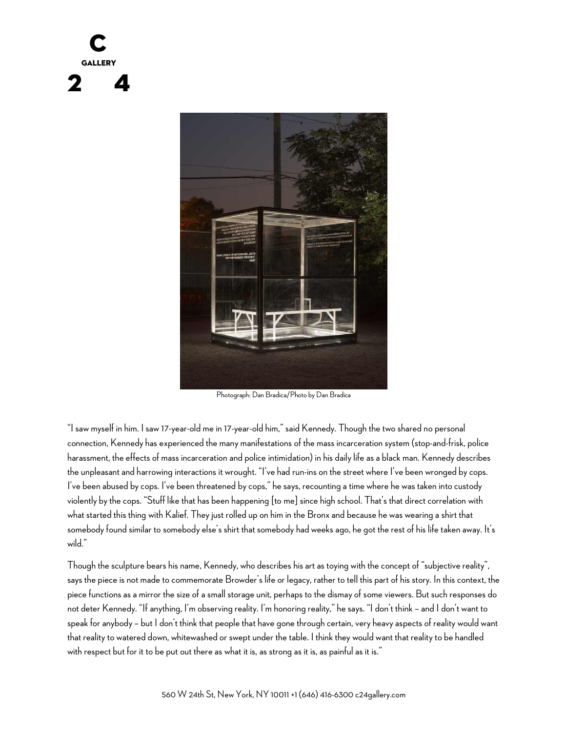



Photograph: Dan Bradica/Photo by Dan Bradica

"I saw myself in him. I saw 17-year-old me in 17-year-old him," said Kennedy. Though the two shared no personal connection, Kennedy has experienced the many manifestations of the mass incarceration system (stop-and-frisk, police harassment, the effects of mass incarceration and police intimidation) in his daily life as a black man. Kennedy describes the unpleasant and harrowing interactions it wrought. "I've had run-ins on the street where I've been wronged by cops. I've been abused by cops. I've been threatened by cops," he says, recounting a time where he was taken into custody violently by the cops. "Stuff like that has been happening [to me] since high school. That's that direct correlation with what started this thing with Kalief. They just rolled up on him in the Bronx and because he was wearing a shirt that somebody found similar to somebody else's shirt that somebody had weeks ago, he got the rest of his life taken away. It's wild."

Though the sculpture bears his name, Kennedy, who describes his art as toying with the concept of "subjective reality", says the piece is not made to commemorate Browder's life or legacy, rather to tell this part of his story. In this context, the piece functions as a mirror the size of a small storage unit, perhaps to the dismay of some viewers. But such responses do not deter Kennedy. "If anything, I'm observing reality. I'm honoring reality," he says. "I don't think –and I don't want to speak for anybody – but I don't think that people that have gone through certain, very heavy aspects of reality would want that reality to watered down, whitewashed or swept under the table. I think they would want that reality to be handled with respect but for it to be put out there as what it is, as strong as it is, as painful as it is."